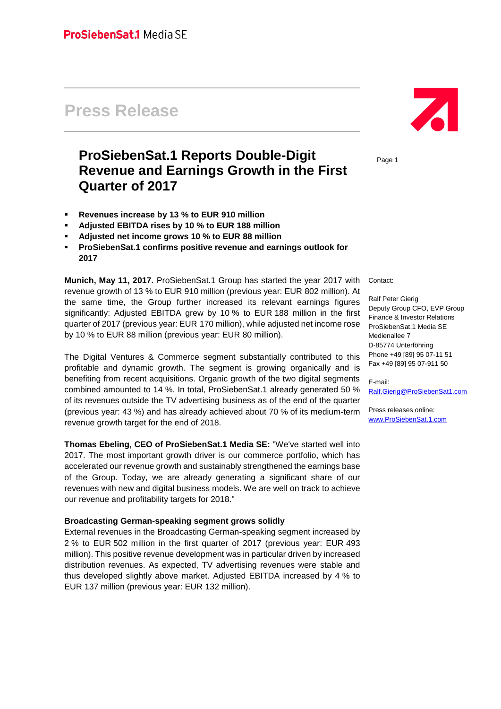# **Press Release**

# **ProSiebenSat.1 Reports Double-Digit Revenue and Earnings Growth in the First Quarter of 2017**

- **Revenues increase by 13 % to EUR 910 million**
- **Adjusted EBITDA rises by 10 % to EUR 188 million**
- **Adjusted net income grows 10 % to EUR 88 million**
- **ProSiebenSat.1 confirms positive revenue and earnings outlook for 2017**

**Munich, May 11, 2017.** ProSiebenSat.1 Group has started the year 2017 with Contact: revenue growth of 13 % to EUR 910 million (previous year: EUR 802 million). At the same time, the Group further increased its relevant earnings figures significantly: Adjusted EBITDA grew by 10 % to EUR 188 million in the first quarter of 2017 (previous year: EUR 170 million), while adjusted net income rose by 10 % to EUR 88 million (previous year: EUR 80 million).

The Digital Ventures & Commerce segment substantially contributed to this profitable and dynamic growth. The segment is growing organically and is benefiting from recent acquisitions. Organic growth of the two digital segments combined amounted to 14 %. In total, ProSiebenSat.1 already generated 50 % of its revenues outside the TV advertising business as of the end of the quarter (previous year: 43 %) and has already achieved about 70 % of its medium-term revenue growth target for the end of 2018.

**Thomas Ebeling, CEO of ProSiebenSat.1 Media SE:** "We've started well into 2017. The most important growth driver is our commerce portfolio, which has accelerated our revenue growth and sustainably strengthened the earnings base of the Group. Today, we are already generating a significant share of our revenues with new and digital business models. We are well on track to achieve our revenue and profitability targets for 2018."

## **Broadcasting German-speaking segment grows solidly**

External revenues in the Broadcasting German-speaking segment increased by 2 % to EUR 502 million in the first quarter of 2017 (previous year: EUR 493 million). This positive revenue development was in particular driven by increased distribution revenues. As expected, TV advertising revenues were stable and thus developed slightly above market. Adjusted EBITDA increased by 4 % to EUR 137 million (previous year: EUR 132 million).



Page 1

Ralf Peter Gierig Deputy Group CFO, EVP Group Finance & Investor Relations ProSiebenSat.1 Media SE Medienallee 7 D-85774 Unterföhring Phone +49 [89] 95 07-11 51 Fax +49 [89] 95 07-911 50

E-mail: [Ralf.Gierig@ProSiebenSat1.com](mailto:Ralf.Gierig@prosiebensat1.com)

Press releases online: www.ProSiebenSat.1.com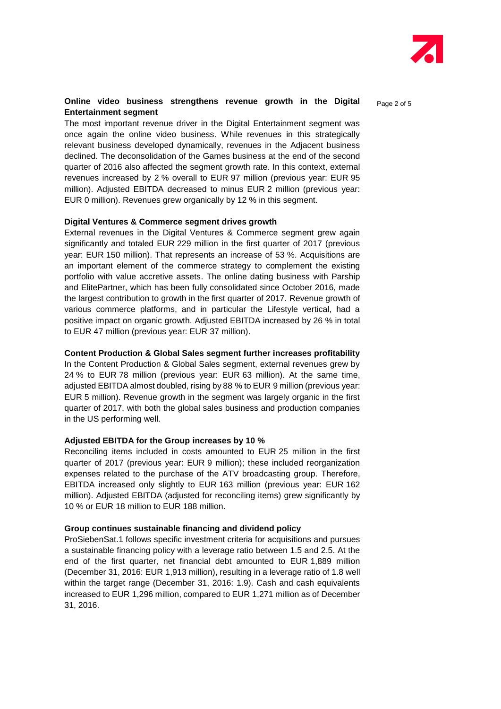

#### Online video business strengthens revenue growth in the Digital <sub>Page 2 of 5</sub> **Entertainment segment**

The most important revenue driver in the Digital Entertainment segment was once again the online video business. While revenues in this strategically relevant business developed dynamically, revenues in the Adjacent business declined. The deconsolidation of the Games business at the end of the second quarter of 2016 also affected the segment growth rate. In this context, external revenues increased by 2 % overall to EUR 97 million (previous year: EUR 95 million). Adjusted EBITDA decreased to minus EUR 2 million (previous year: EUR 0 million). Revenues grew organically by 12 % in this segment.

#### **Digital Ventures & Commerce segment drives growth**

External revenues in the Digital Ventures & Commerce segment grew again significantly and totaled EUR 229 million in the first quarter of 2017 (previous year: EUR 150 million). That represents an increase of 53 %. Acquisitions are an important element of the commerce strategy to complement the existing portfolio with value accretive assets. The online dating business with Parship and ElitePartner, which has been fully consolidated since October 2016, made the largest contribution to growth in the first quarter of 2017. Revenue growth of various commerce platforms, and in particular the Lifestyle vertical, had a positive impact on organic growth. Adjusted EBITDA increased by 26 % in total to EUR 47 million (previous year: EUR 37 million).

#### **Content Production & Global Sales segment further increases profitability**

In the Content Production & Global Sales segment, external revenues grew by 24 % to EUR 78 million (previous year: EUR 63 million). At the same time, adjusted EBITDA almost doubled, rising by 88 % to EUR 9 million (previous year: EUR 5 million). Revenue growth in the segment was largely organic in the first quarter of 2017, with both the global sales business and production companies in the US performing well.

#### **Adjusted EBITDA for the Group increases by 10 %**

Reconciling items included in costs amounted to EUR 25 million in the first quarter of 2017 (previous year: EUR 9 million); these included reorganization expenses related to the purchase of the ATV broadcasting group. Therefore, EBITDA increased only slightly to EUR 163 million (previous year: EUR 162 million). Adjusted EBITDA (adjusted for reconciling items) grew significantly by 10 % or EUR 18 million to EUR 188 million.

#### **Group continues sustainable financing and dividend policy**

ProSiebenSat.1 follows specific investment criteria for acquisitions and pursues a sustainable financing policy with a leverage ratio between 1.5 and 2.5. At the end of the first quarter, net financial debt amounted to EUR 1,889 million (December 31, 2016: EUR 1,913 million), resulting in a leverage ratio of 1.8 well within the target range (December 31, 2016: 1.9). Cash and cash equivalents increased to EUR 1,296 million, compared to EUR 1,271 million as of December 31, 2016.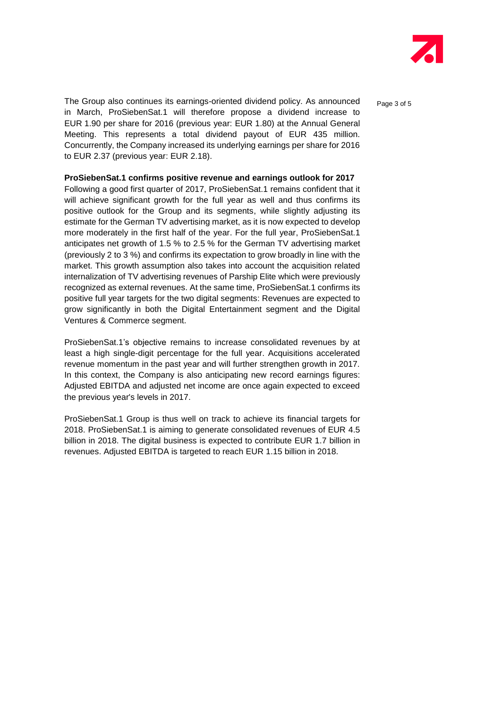

The Group also continues its earnings-oriented dividend policy. As announced entry <sub>Page 3 of 5</sub> in March, ProSiebenSat.1 will therefore propose a dividend increase to EUR 1.90 per share for 2016 (previous year: EUR 1.80) at the Annual General Meeting. This represents a total dividend payout of EUR 435 million. Concurrently, the Company increased its underlying earnings per share for 2016 to EUR 2.37 (previous year: EUR 2.18).

#### **ProSiebenSat.1 confirms positive revenue and earnings outlook for 2017**

Following a good first quarter of 2017, ProSiebenSat.1 remains confident that it will achieve significant growth for the full year as well and thus confirms its positive outlook for the Group and its segments, while slightly adjusting its estimate for the German TV advertising market, as it is now expected to develop more moderately in the first half of the year. For the full year, ProSiebenSat.1 anticipates net growth of 1.5 % to 2.5 % for the German TV advertising market (previously 2 to 3 %) and confirms its expectation to grow broadly in line with the market. This growth assumption also takes into account the acquisition related internalization of TV advertising revenues of Parship Elite which were previously recognized as external revenues. At the same time, ProSiebenSat.1 confirms its positive full year targets for the two digital segments: Revenues are expected to grow significantly in both the Digital Entertainment segment and the Digital Ventures & Commerce segment.

ProSiebenSat.1's objective remains to increase consolidated revenues by at least a high single-digit percentage for the full year. Acquisitions accelerated revenue momentum in the past year and will further strengthen growth in 2017. In this context, the Company is also anticipating new record earnings figures: Adjusted EBITDA and adjusted net income are once again expected to exceed the previous year's levels in 2017.

ProSiebenSat.1 Group is thus well on track to achieve its financial targets for 2018. ProSiebenSat.1 is aiming to generate consolidated revenues of EUR 4.5 billion in 2018. The digital business is expected to contribute EUR 1.7 billion in revenues. Adjusted EBITDA is targeted to reach EUR 1.15 billion in 2018.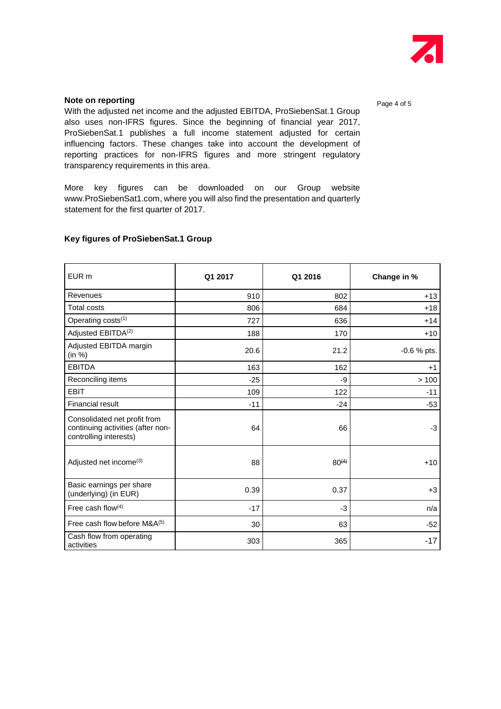

# **Note on reporting**

With the adjusted net income and the adjusted EBITDA, ProSiebenSat.1 Group also uses non-IFRS figures. Since the beginning of financial year 2017, ProSiebenSat.1 publishes a full income statement adjusted for certain influencing factors. These changes take into account the development of reporting practices for non-IFRS figures and more stringent regulatory transparency requirements in this area.

More key figures can be downloaded on our Group website www.ProSiebenSat1.com, where you will also find the presentation and quarterly statement for the first quarter of 2017.

| EUR <sub>m</sub>                                                                            | Q1 2017 | Q1 2016    | Change in %   |
|---------------------------------------------------------------------------------------------|---------|------------|---------------|
| Revenues                                                                                    | 910     | 802        | $+13$         |
| <b>Total costs</b>                                                                          | 806     | 684        | $+18$         |
| Operating costs <sup>(1)</sup>                                                              | 727     | 636        | $+14$         |
| Adjusted EBITDA <sup>(2)</sup>                                                              | 188     | 170        | $+10$         |
| Adjusted EBITDA margin<br>(in %)                                                            | 20.6    | 21.2       | $-0.6$ % pts. |
| <b>EBITDA</b>                                                                               | 163     | 162        | $+1$          |
| Reconciling items                                                                           | $-25$   | -9         | >100          |
| <b>EBIT</b>                                                                                 | 109     | 122        | $-11$         |
| <b>Financial result</b>                                                                     | $-11$   | $-24$      | $-53$         |
| Consolidated net profit from<br>continuing activities (after non-<br>controlling interests) | 64      | 66         | -3            |
| Adjusted net income <sup>(3)</sup>                                                          | 88      | $80^{(4)}$ | $+10$         |
| Basic earnings per share<br>(underlying) (in EUR)                                           | 0.39    | 0.37       | $+3$          |
| Free cash flow $(4)$                                                                        | $-17$   | -3         | n/a           |
| Free cash flow before M&A(5)                                                                | 30      | 63         | $-52$         |
| Cash flow from operating<br>activities                                                      | 303     | 365        | $-17$         |

# **Key figures of ProSiebenSat.1 Group**

Page 4 of 5